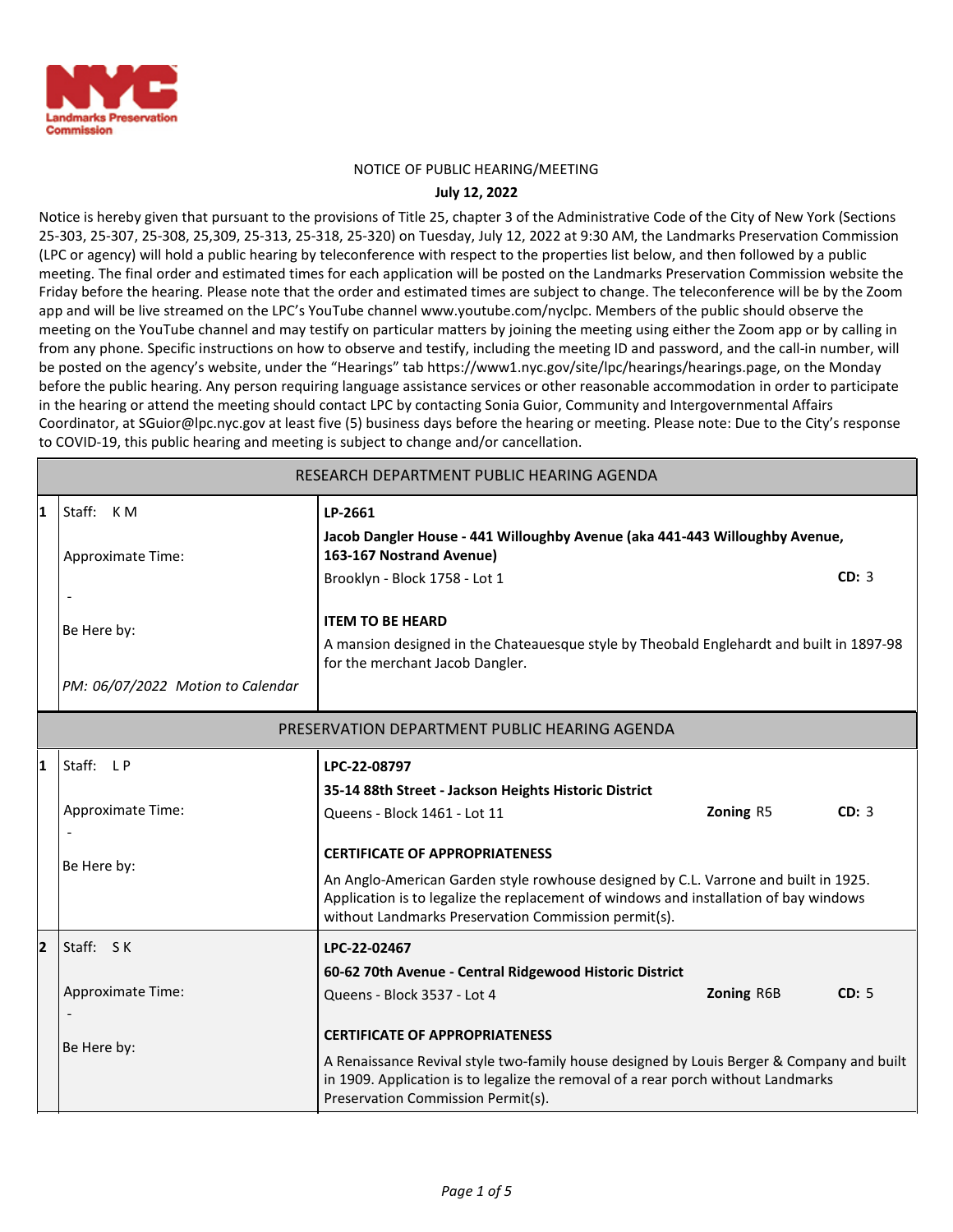

#### NOTICE OF PUBLIC HEARING/MEETING

#### **July 12, 2022**

Notice is hereby given that pursuant to the provisions of Title 25, chapter 3 of the Administrative Code of the City of New York (Sections 25-303, 25-307, 25-308, 25,309, 25-313, 25-318, 25-320) on Tuesday, July 12, 2022 at 9:30 AM, the Landmarks Preservation Commission (LPC or agency) will hold a public hearing by teleconference with respect to the properties list below, and then followed by a public meeting. The final order and estimated times for each application will be posted on the Landmarks Preservation Commission website the Friday before the hearing. Please note that the order and estimated times are subject to change. The teleconference will be by the Zoom app and will be live streamed on the LPC's YouTube channel www.youtube.com/nyclpc. Members of the public should observe the meeting on the YouTube channel and may testify on particular matters by joining the meeting using either the Zoom app or by calling in from any phone. Specific instructions on how to observe and testify, including the meeting ID and password, and the call-in number, will be posted on the agency's website, under the "Hearings" tab https://www1.nyc.gov/site/lpc/hearings/hearings.page, on the Monday before the public hearing. Any person requiring language assistance services or other reasonable accommodation in order to participate in the hearing or attend the meeting should contact LPC by contacting Sonia Guior, Community and Intergovernmental Affairs Coordinator, at SGuior@lpc.nyc.gov at least five (5) business days before the hearing or meeting. Please note: Due to the City's response to COVID-19, this public hearing and meeting is subject to change and/or cancellation.

| RESEARCH DEPARTMENT PUBLIC HEARING AGENDA |                                               |                                                                                                                                                                                                                                      |            |       |  |  |  |  |
|-------------------------------------------|-----------------------------------------------|--------------------------------------------------------------------------------------------------------------------------------------------------------------------------------------------------------------------------------------|------------|-------|--|--|--|--|
| 1                                         | Staff: KM                                     | LP-2661<br>Jacob Dangler House - 441 Willoughby Avenue (aka 441-443 Willoughby Avenue,                                                                                                                                               |            |       |  |  |  |  |
|                                           | Approximate Time:                             | 163-167 Nostrand Avenue)<br>Brooklyn - Block 1758 - Lot 1                                                                                                                                                                            |            | CD: 3 |  |  |  |  |
|                                           | Be Here by:                                   | <b>ITEM TO BE HEARD</b><br>A mansion designed in the Chateauesque style by Theobald Englehardt and built in 1897-98<br>for the merchant Jacob Dangler.                                                                               |            |       |  |  |  |  |
|                                           | PM: 06/07/2022 Motion to Calendar             |                                                                                                                                                                                                                                      |            |       |  |  |  |  |
|                                           | PRESERVATION DEPARTMENT PUBLIC HEARING AGENDA |                                                                                                                                                                                                                                      |            |       |  |  |  |  |
| 1                                         | Staff: LP                                     | LPC-22-08797                                                                                                                                                                                                                         |            |       |  |  |  |  |
|                                           |                                               | 35-14 88th Street - Jackson Heights Historic District                                                                                                                                                                                |            |       |  |  |  |  |
|                                           | <b>Approximate Time:</b>                      | Queens - Block 1461 - Lot 11                                                                                                                                                                                                         | Zoning R5  | CD: 3 |  |  |  |  |
|                                           | Be Here by:                                   | <b>CERTIFICATE OF APPROPRIATENESS</b>                                                                                                                                                                                                |            |       |  |  |  |  |
|                                           |                                               | An Anglo-American Garden style rowhouse designed by C.L. Varrone and built in 1925.<br>Application is to legalize the replacement of windows and installation of bay windows<br>without Landmarks Preservation Commission permit(s). |            |       |  |  |  |  |
| $\overline{\mathbf{2}}$                   | Staff: SK                                     | LPC-22-02467                                                                                                                                                                                                                         |            |       |  |  |  |  |
|                                           |                                               | 60-62 70th Avenue - Central Ridgewood Historic District                                                                                                                                                                              |            |       |  |  |  |  |
|                                           | Approximate Time:                             | Queens - Block 3537 - Lot 4                                                                                                                                                                                                          | Zoning R6B | CD: 5 |  |  |  |  |
|                                           | Be Here by:                                   | <b>CERTIFICATE OF APPROPRIATENESS</b>                                                                                                                                                                                                |            |       |  |  |  |  |
|                                           |                                               | A Renaissance Revival style two-family house designed by Louis Berger & Company and built<br>in 1909. Application is to legalize the removal of a rear porch without Landmarks<br>Preservation Commission Permit(s).                 |            |       |  |  |  |  |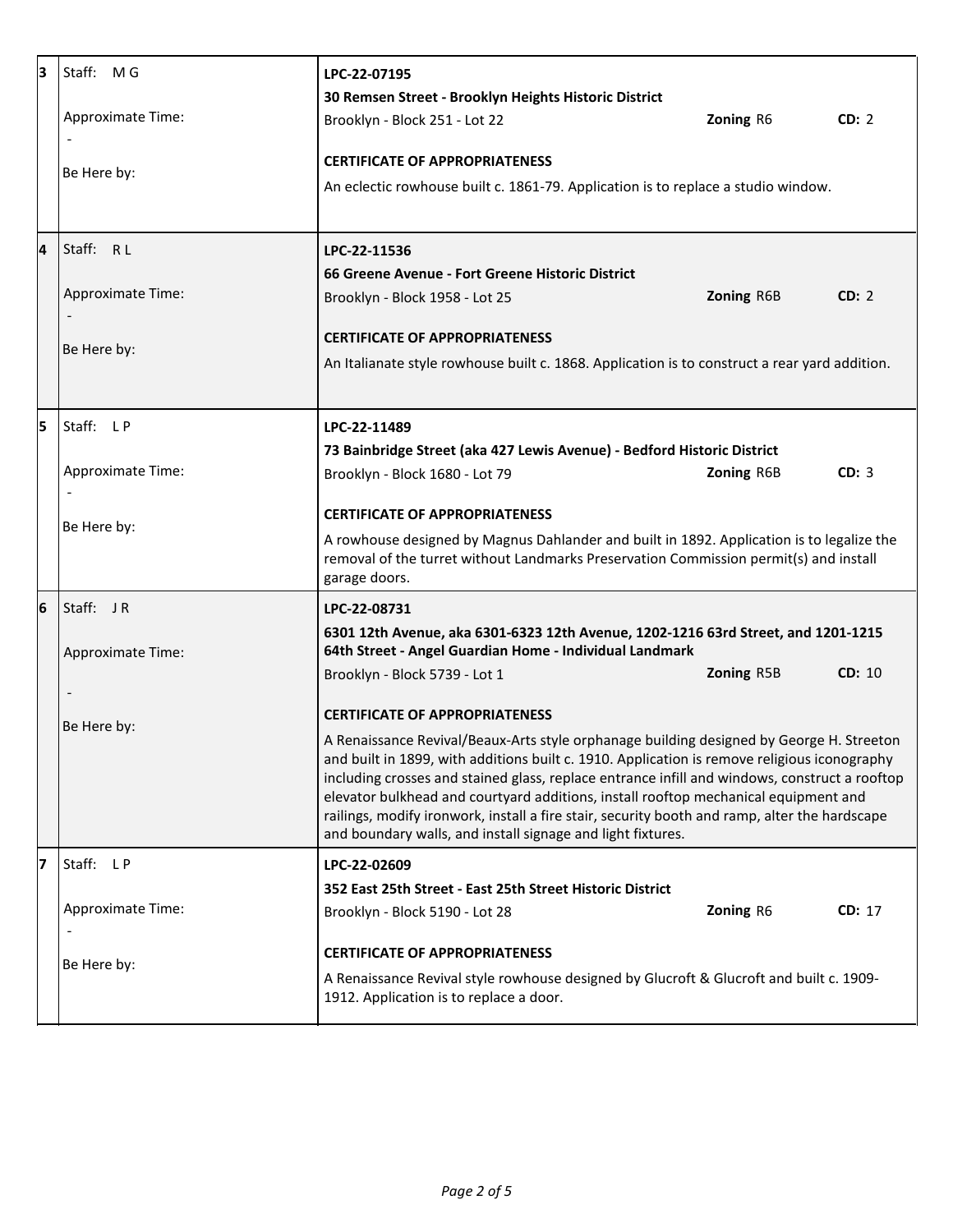| 3 | Staff: MG                | LPC-22-07195                                                                                                                                                                                                                                                                                                                                                                                                                                                                                                                                     |            |        |  |  |
|---|--------------------------|--------------------------------------------------------------------------------------------------------------------------------------------------------------------------------------------------------------------------------------------------------------------------------------------------------------------------------------------------------------------------------------------------------------------------------------------------------------------------------------------------------------------------------------------------|------------|--------|--|--|
|   |                          | 30 Remsen Street - Brooklyn Heights Historic District                                                                                                                                                                                                                                                                                                                                                                                                                                                                                            |            |        |  |  |
|   | <b>Approximate Time:</b> | Brooklyn - Block 251 - Lot 22                                                                                                                                                                                                                                                                                                                                                                                                                                                                                                                    | Zoning R6  | CD: 2  |  |  |
|   | Be Here by:              | <b>CERTIFICATE OF APPROPRIATENESS</b>                                                                                                                                                                                                                                                                                                                                                                                                                                                                                                            |            |        |  |  |
|   |                          | An eclectic rowhouse built c. 1861-79. Application is to replace a studio window.                                                                                                                                                                                                                                                                                                                                                                                                                                                                |            |        |  |  |
|   |                          |                                                                                                                                                                                                                                                                                                                                                                                                                                                                                                                                                  |            |        |  |  |
| 4 | Staff: RL                | LPC-22-11536                                                                                                                                                                                                                                                                                                                                                                                                                                                                                                                                     |            |        |  |  |
|   |                          | 66 Greene Avenue - Fort Greene Historic District                                                                                                                                                                                                                                                                                                                                                                                                                                                                                                 |            |        |  |  |
|   | <b>Approximate Time:</b> | Brooklyn - Block 1958 - Lot 25                                                                                                                                                                                                                                                                                                                                                                                                                                                                                                                   | Zoning R6B | CD: 2  |  |  |
|   | Be Here by:              | <b>CERTIFICATE OF APPROPRIATENESS</b>                                                                                                                                                                                                                                                                                                                                                                                                                                                                                                            |            |        |  |  |
|   |                          | An Italianate style rowhouse built c. 1868. Application is to construct a rear yard addition.                                                                                                                                                                                                                                                                                                                                                                                                                                                    |            |        |  |  |
|   |                          |                                                                                                                                                                                                                                                                                                                                                                                                                                                                                                                                                  |            |        |  |  |
| 5 | Staff: LP                | LPC-22-11489                                                                                                                                                                                                                                                                                                                                                                                                                                                                                                                                     |            |        |  |  |
|   |                          | 73 Bainbridge Street (aka 427 Lewis Avenue) - Bedford Historic District                                                                                                                                                                                                                                                                                                                                                                                                                                                                          |            |        |  |  |
|   | Approximate Time:        | Brooklyn - Block 1680 - Lot 79                                                                                                                                                                                                                                                                                                                                                                                                                                                                                                                   | Zoning R6B | CD: 3  |  |  |
|   | Be Here by:              | <b>CERTIFICATE OF APPROPRIATENESS</b>                                                                                                                                                                                                                                                                                                                                                                                                                                                                                                            |            |        |  |  |
|   |                          | A rowhouse designed by Magnus Dahlander and built in 1892. Application is to legalize the<br>removal of the turret without Landmarks Preservation Commission permit(s) and install<br>garage doors.                                                                                                                                                                                                                                                                                                                                              |            |        |  |  |
| 6 | Staff: JR                | LPC-22-08731                                                                                                                                                                                                                                                                                                                                                                                                                                                                                                                                     |            |        |  |  |
|   | Approximate Time:        | 6301 12th Avenue, aka 6301-6323 12th Avenue, 1202-1216 63rd Street, and 1201-1215<br>64th Street - Angel Guardian Home - Individual Landmark                                                                                                                                                                                                                                                                                                                                                                                                     |            |        |  |  |
|   |                          | Brooklyn - Block 5739 - Lot 1                                                                                                                                                                                                                                                                                                                                                                                                                                                                                                                    | Zoning R5B | CD: 10 |  |  |
|   |                          |                                                                                                                                                                                                                                                                                                                                                                                                                                                                                                                                                  |            |        |  |  |
|   | Be Here by:              | <b>CERTIFICATE OF APPROPRIATENESS</b>                                                                                                                                                                                                                                                                                                                                                                                                                                                                                                            |            |        |  |  |
|   |                          | A Renaissance Revival/Beaux-Arts style orphanage building designed by George H. Streeton<br>and built in 1899, with additions built c. 1910. Application is remove religious iconography<br>including crosses and stained glass, replace entrance infill and windows, construct a rooftop<br>elevator bulkhead and courtyard additions, install rooftop mechanical equipment and<br>railings, modify ironwork, install a fire stair, security booth and ramp, alter the hardscape<br>and boundary walls, and install signage and light fixtures. |            |        |  |  |
| 7 | Staff: LP                | LPC-22-02609                                                                                                                                                                                                                                                                                                                                                                                                                                                                                                                                     |            |        |  |  |
|   |                          | 352 East 25th Street - East 25th Street Historic District                                                                                                                                                                                                                                                                                                                                                                                                                                                                                        |            |        |  |  |
|   | Approximate Time:        | Brooklyn - Block 5190 - Lot 28                                                                                                                                                                                                                                                                                                                                                                                                                                                                                                                   | Zoning R6  | CD: 17 |  |  |
|   | $\overline{\phantom{a}}$ | <b>CERTIFICATE OF APPROPRIATENESS</b>                                                                                                                                                                                                                                                                                                                                                                                                                                                                                                            |            |        |  |  |
|   | Be Here by:              | A Renaissance Revival style rowhouse designed by Glucroft & Glucroft and built c. 1909-                                                                                                                                                                                                                                                                                                                                                                                                                                                          |            |        |  |  |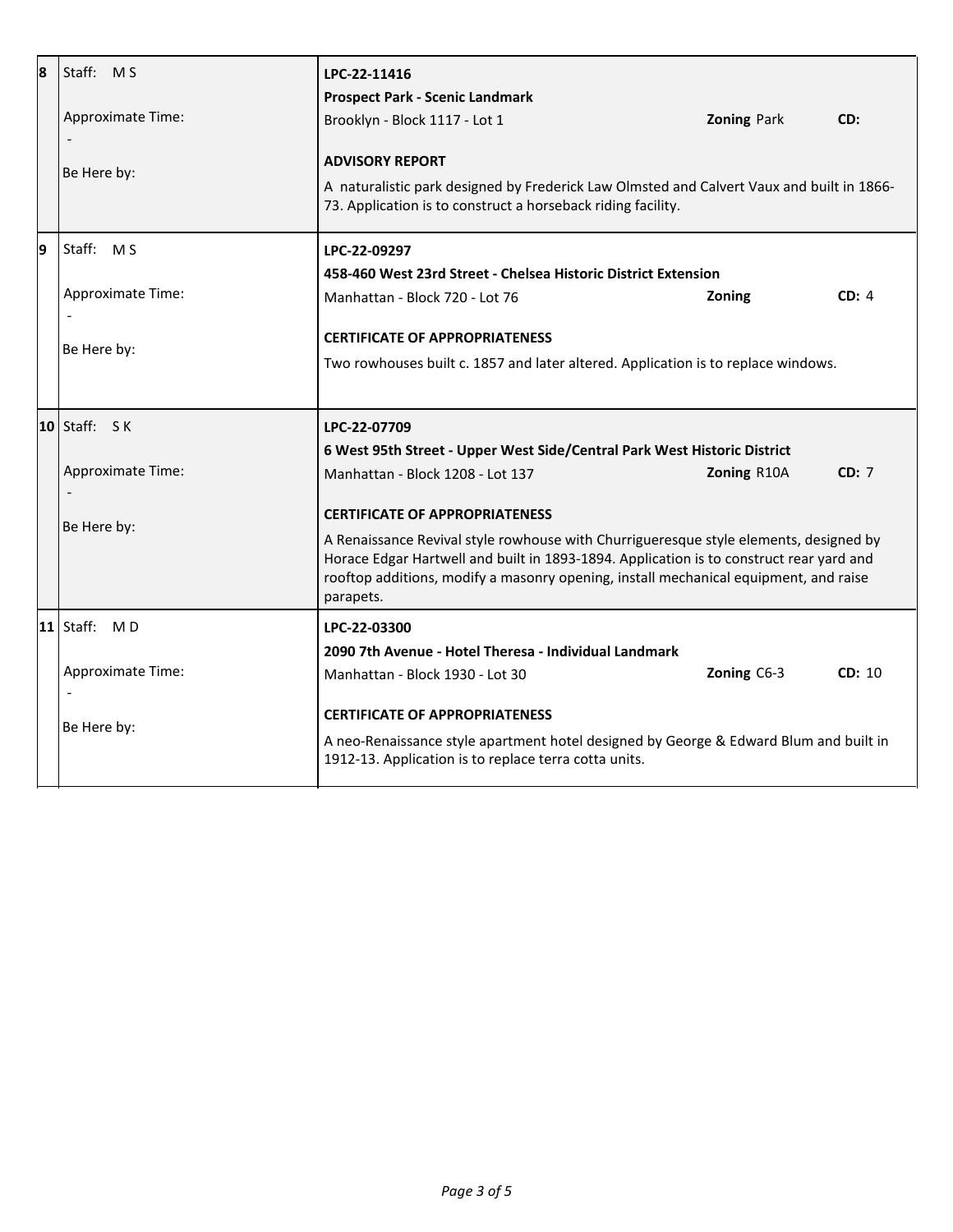| 8  | Staff: MS<br><b>Approximate Time:</b><br>Be Here by: | LPC-22-11416<br><b>Prospect Park - Scenic Landmark</b><br>Brooklyn - Block 1117 - Lot 1<br><b>ADVISORY REPORT</b><br>A naturalistic park designed by Frederick Law Olmsted and Calvert Vaux and built in 1866-<br>73. Application is to construct a horseback riding facility.                                                 | <b>Zoning Park</b> | CD:    |  |
|----|------------------------------------------------------|--------------------------------------------------------------------------------------------------------------------------------------------------------------------------------------------------------------------------------------------------------------------------------------------------------------------------------|--------------------|--------|--|
| 19 | Staff: MS<br>Approximate Time:                       | LPC-22-09297<br>458-460 West 23rd Street - Chelsea Historic District Extension<br>Manhattan - Block 720 - Lot 76<br><b>CERTIFICATE OF APPROPRIATENESS</b>                                                                                                                                                                      | Zoning             | CD: 4  |  |
|    | Be Here by:                                          | Two rowhouses built c. 1857 and later altered. Application is to replace windows.                                                                                                                                                                                                                                              |                    |        |  |
|    | $ 10 $ Staff: $S$ K                                  | LPC-22-07709                                                                                                                                                                                                                                                                                                                   |                    |        |  |
|    | Approximate Time:                                    | 6 West 95th Street - Upper West Side/Central Park West Historic District<br>Manhattan - Block 1208 - Lot 137                                                                                                                                                                                                                   | Zoning R10A        | CD: 7  |  |
|    | Be Here by:                                          | <b>CERTIFICATE OF APPROPRIATENESS</b><br>A Renaissance Revival style rowhouse with Churrigueresque style elements, designed by<br>Horace Edgar Hartwell and built in 1893-1894. Application is to construct rear yard and<br>rooftop additions, modify a masonry opening, install mechanical equipment, and raise<br>parapets. |                    |        |  |
|    | $ 11 $ Staff: MD                                     | LPC-22-03300                                                                                                                                                                                                                                                                                                                   |                    |        |  |
|    | Approximate Time:                                    | 2090 7th Avenue - Hotel Theresa - Individual Landmark<br>Manhattan - Block 1930 - Lot 30                                                                                                                                                                                                                                       | Zoning C6-3        | CD: 10 |  |
|    | Be Here by:                                          | <b>CERTIFICATE OF APPROPRIATENESS</b><br>A neo-Renaissance style apartment hotel designed by George & Edward Blum and built in<br>1912-13. Application is to replace terra cotta units.                                                                                                                                        |                    |        |  |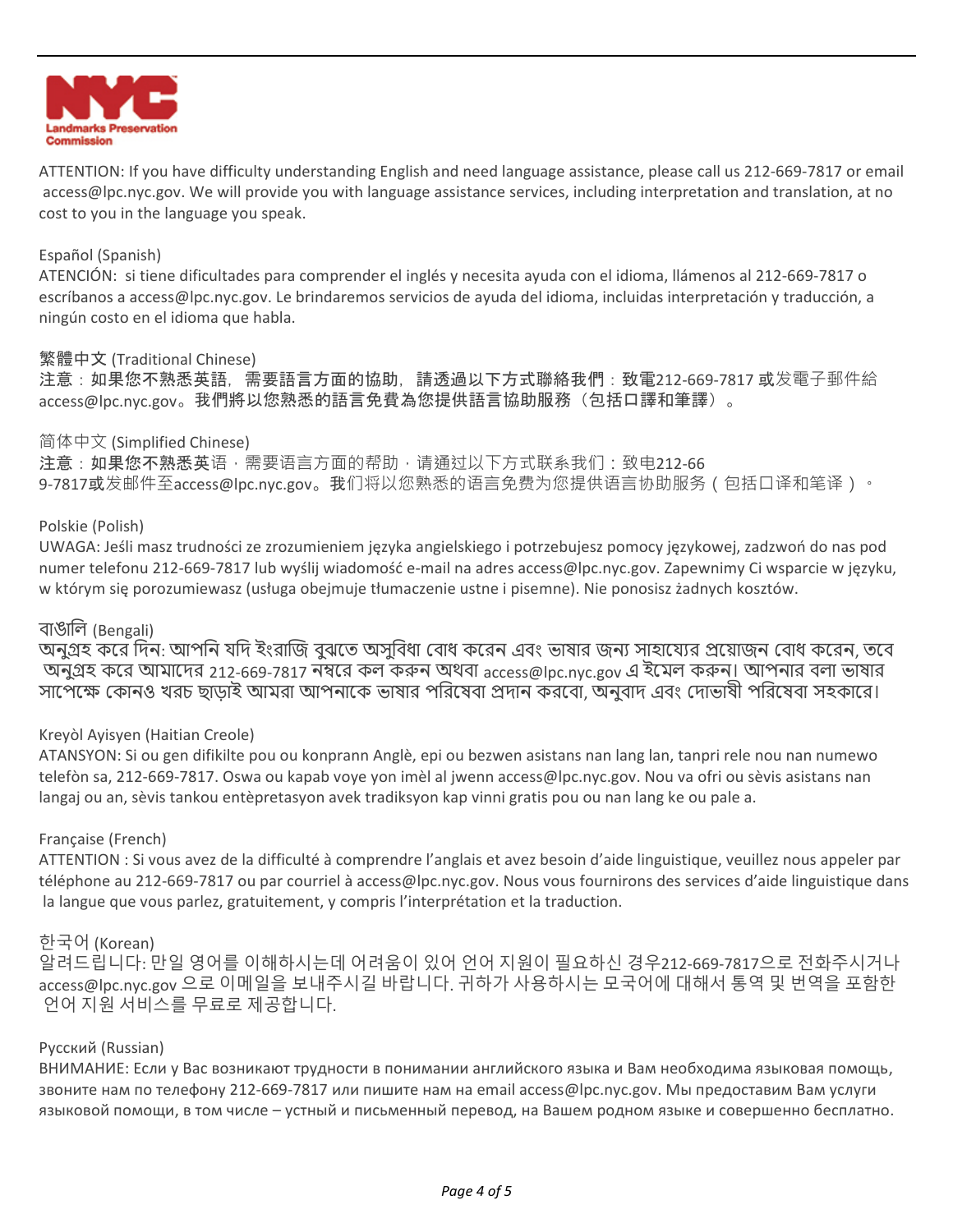

ATTENTION: If you have difficulty understanding English and need language assistance, please call us 212-669-7817 or email access@lpc.nyc.gov. We will provide you with language assistance services, including interpretation and translation, at no cost to you in the language you speak.

## Español (Spanish)

ATENCIÓN: si tiene dificultades para comprender el inglés y necesita ayuda con el idioma, llámenos al 212-669-7817 o escríbanos a access@lpc.nyc.gov. Le brindaremos servicios de ayuda del idioma, incluidas interpretación y traducción, a ningún costo en el idioma que habla.

## 繁體中文 (Traditional Chinese)

注意:如果您不熟悉英語,需要語言方面的協助,請透過以下方式聯絡我們:致電212-669-7817 或发電子郵件給 access@lpc.nyc.gov。我們將以您熟悉的語言免費為您提供語言協助服務(包括口譯和筆譯)。

## 简体中文 (Simplified Chinese)

注意:如果您不熟悉英语,需要语言方面的帮助,请通过以下方式联系我们:致电212-66 9-7817或发邮件至access@lpc.nyc.gov。我们将以您熟悉的语言免费为您提供语言协助服务(包括口译和笔译)。

## Polskie (Polish)

UWAGA: Jeśli masz trudności ze zrozumieniem języka angielskiego i potrzebujesz pomocy językowej, zadzwoń do nas pod numer telefonu 212-669-7817 lub wyślij wiadomość e-mail na adres access@lpc.nyc.gov. Zapewnimy Ci wsparcie w języku, w którym się porozumiewasz (usługa obejmuje tłumaczenie ustne i pisemne). Nie ponosisz żadnych kosztów.

# বাঙালি (Bengali)

অনুগ্রহ করে দিন: আপনি যদি ইংরাজি বুঝুতে অসুবিধা বোধ করেন এবং ভাষার জন্য সাহায্যের প্রয়োজন বোধ করেন, তবে অনুগ্রহ করে আমাদের 212-669-7817 নম্বরে কল করুন অথবা access@lpc.nyc.gov এ ইমেল করুন। আপনার বলা ভাষার সাপেক্ষে কোনও খরচ ছাড়াই আমরা আপনাকে ভাষার পরিষেবা প্রদান করবো, অনুবাদ এবং দোভাষী পরিষেবা সহকারে।

# Kreyòl Ayisyen (Haitian Creole)

ATANSYON: Si ou gen difikilte pou ou konprann Anglè, epi ou bezwen asistans nan lang lan, tanpri rele nou nan numewo telefòn sa, 212-669-7817. Oswa ou kapab voye yon imèl al jwenn access@lpc.nyc.gov. Nou va ofri ou sèvis asistans nan langaj ou an, sèvis tankou entèpretasyon avek tradiksyon kap vinni gratis pou ou nan lang ke ou pale a.

### Française (French)

ATTENTION : Si vous avez de la difficulté à comprendre l'anglais et avez besoin d'aide linguistique, veuillez nous appeler par téléphone au 212-669-7817 ou par courriel à access@lpc.nyc.gov. Nous vous fournirons des services d'aide linguistique dans la langue que vous parlez, gratuitement, y compris l'interprétation et la traduction.

# 한국어 (Korean)

알려드립니다: 만일 영어를 이해하시는데 어려움이 있어 언어 지원이 필요하신 경우212-669-7817으로 전화주시거나 access@lpc.nyc.gov 으로 이메일을 보내주시길 바랍니다. 귀하가 사용하시는 모국어에 대해서 통역 및 번역을 포함한 언어 지원 서비스를 무료로 제공합니다.

### Русский (Russian)

ВНИМАНИЕ: Если у Вас возникают трудности в понимании английского языка и Вам необходима языковая помощь, звоните нам по телефону 212-669-7817 или пишите нам на email access@lpc.nyc.gov. Мы предоставим Вам услуги языковой помощи, в том числе – устный и письменный перевод, на Вашем родном языке и совершенно бесплатно.